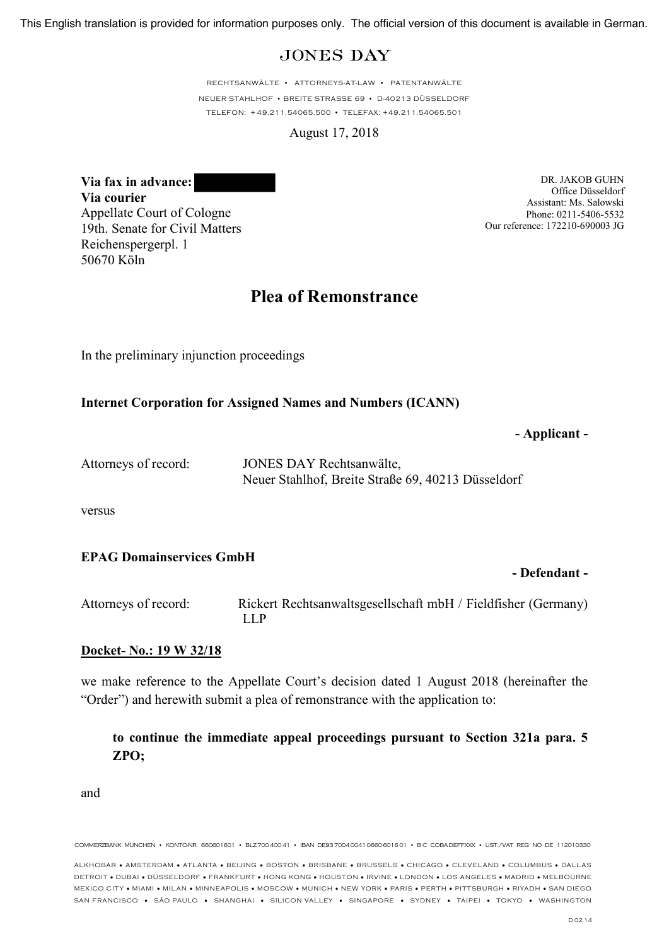# **JONES DAY**

RECHTSANWÄLTE • ATTORNEYS-AT-LAW • PATENTANWÄLTE NEUER STAHLHOF • BREITE STRASSE 69 • D-40213 DÜSSELDORF TELEFON: + 49.211.54065.500 • TELEFAX: +49.211.54065.501

August 17, 2018

**Via fax in advance: Via courier** Appellate Court of Cologne 19th. Senate for Civil Matters Reichenspergerpl. 1 50670 Köln

DR. JAKOB GUHN Office Düsseldorf Assistant: Ms. Salowski Phone: 0211-5406-5532 Our reference: 172210-690003 JG

# **Plea of Remonstrance**

In the preliminary injunction proceedings

#### **Internet Corporation for Assigned Names and Numbers (ICANN)**

#### **- Applicant -**

| Attorneys of record: | JONES DAY Rechtsanwälte,                           |
|----------------------|----------------------------------------------------|
|                      | Neuer Stahlhof, Breite Straße 69, 40213 Düsseldorf |

versus

#### **EPAG Domainservices GmbH**

#### **- Defendant -**

Attorneys of record: Rickert Rechtsanwaltsgesellschaft mbH / Fieldfisher (Germany) LLP

#### **Docket- No.: 19 W 32/18**

we make reference to the Appellate Court's decision dated 1 August 2018 (hereinafter the "Order") and herewith submit a plea of remonstrance with the application to:

**to continue the immediate appeal proceedings pursuant to Section 321a para. 5 ZPO;**

and

COMMERZBANK MÜNCHEN • KONTONR. 660601601 • BLZ700 400 41 • IBAN DE93 7004 0041 0660 6016 01 • BC COBA DEFFXXX • UST./VAT REG NO DE 112010330

ALKHOBAR • AMSTERDAM • ATLANTA • BEIJING • BOSTON • BRISBANE • BRUSSELS • CHICAGO • CLEVELAND • COLUMBUS • DALLAS DETROIT • DUBAI • DÜSSELDORF • FRANKFURT • HONG KONG • HOUSTON • IRVINE • LONDON • LOS ANGELES • MADRID • MELBOURNE MEXICO CITY • MIAMI • MILAN • MINNEAPOLIS • MOSCOW • MUNICH • NEW YORK • PARIS • PERTH • PITTSBURGH • RIYADH • SAN DIEGO SAN FRANCISCO • SÃO PAULO • SHANGHAI • SILICON VALLEY • SINGAPORE • SYDNEY • TAIPEI • TOKYO • WASHINGTON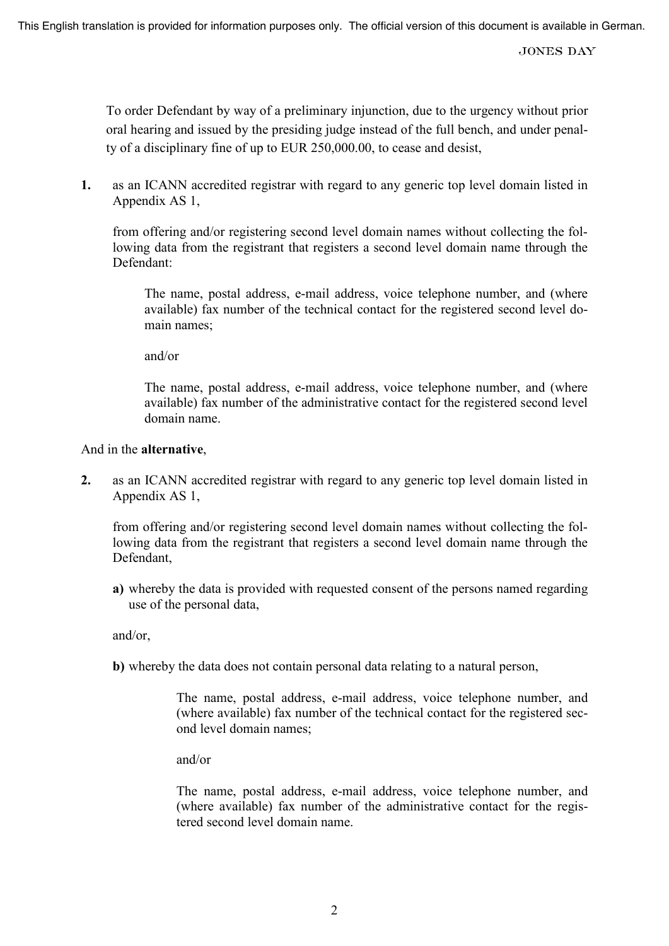To order Defendant by way of a preliminary injunction, due to the urgency without prior oral hearing and issued by the presiding judge instead of the full bench, and under penalty of a disciplinary fine of up to EUR 250,000.00, to cease and desist,

**1.** as an ICANN accredited registrar with regard to any generic top level domain listed in Appendix AS 1,

from offering and/or registering second level domain names without collecting the following data from the registrant that registers a second level domain name through the Defendant:

The name, postal address, e-mail address, voice telephone number, and (where available) fax number of the technical contact for the registered second level domain names;

and/or

The name, postal address, e-mail address, voice telephone number, and (where available) fax number of the administrative contact for the registered second level domain name.

#### And in the **alternative**,

**2.** as an ICANN accredited registrar with regard to any generic top level domain listed in Appendix AS 1,

from offering and/or registering second level domain names without collecting the following data from the registrant that registers a second level domain name through the Defendant,

**a)** whereby the data is provided with requested consent of the persons named regarding use of the personal data,

and/or,

**b)** whereby the data does not contain personal data relating to a natural person,

The name, postal address, e-mail address, voice telephone number, and (where available) fax number of the technical contact for the registered second level domain names;

and/or

The name, postal address, e-mail address, voice telephone number, and (where available) fax number of the administrative contact for the registered second level domain name.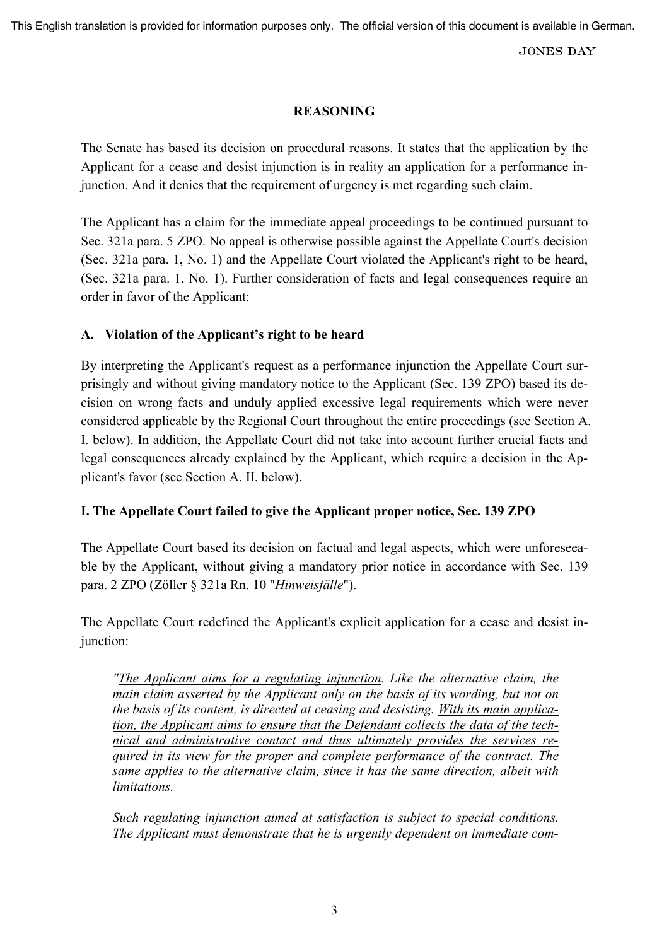**JONES DAY** 

## **REASONING**

The Senate has based its decision on procedural reasons. It states that the application by the Applicant for a cease and desist injunction is in reality an application for a performance injunction. And it denies that the requirement of urgency is met regarding such claim.

The Applicant has a claim for the immediate appeal proceedings to be continued pursuant to Sec. 321a para. 5 ZPO. No appeal is otherwise possible against the Appellate Court's decision (Sec. 321a para. 1, No. 1) and the Appellate Court violated the Applicant's right to be heard, (Sec. 321a para. 1, No. 1). Further consideration of facts and legal consequences require an order in favor of the Applicant:

# **A. Violation of the Applicant's right to be heard**

By interpreting the Applicant's request as a performance injunction the Appellate Court surprisingly and without giving mandatory notice to the Applicant (Sec. 139 ZPO) based its decision on wrong facts and unduly applied excessive legal requirements which were never considered applicable by the Regional Court throughout the entire proceedings (see Section A. I. below). In addition, the Appellate Court did not take into account further crucial facts and legal consequences already explained by the Applicant, which require a decision in the Applicant's favor (see Section A. II. below).

## **I. The Appellate Court failed to give the Applicant proper notice, Sec. 139 ZPO**

The Appellate Court based its decision on factual and legal aspects, which were unforeseeable by the Applicant, without giving a mandatory prior notice in accordance with Sec. 139 para. 2 ZPO (Zöller § 321a Rn. 10 "*Hinweisfälle*").

The Appellate Court redefined the Applicant's explicit application for a cease and desist injunction:

*"The Applicant aims for a regulating injunction. Like the alternative claim, the main claim asserted by the Applicant only on the basis of its wording, but not on the basis of its content, is directed at ceasing and desisting. With its main application, the Applicant aims to ensure that the Defendant collects the data of the technical and administrative contact and thus ultimately provides the services required in its view for the proper and complete performance of the contract. The same applies to the alternative claim, since it has the same direction, albeit with limitations.*

*Such regulating injunction aimed at satisfaction is subject to special conditions. The Applicant must demonstrate that he is urgently dependent on immediate com-*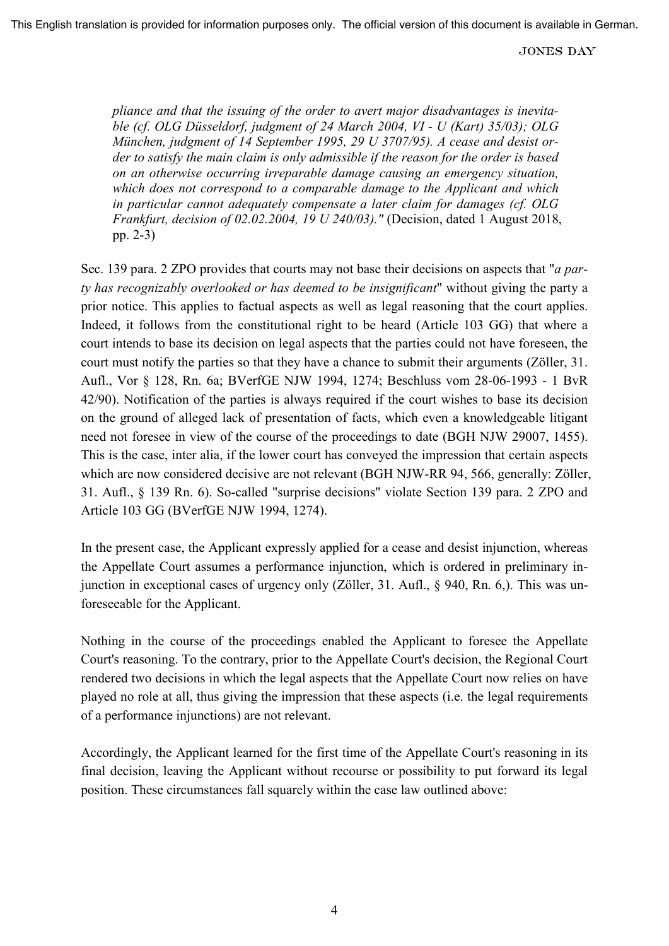*pliance and that the issuing of the order to avert major disadvantages is inevitable (cf. OLG Düsseldorf, judgment of 24 March 2004, VI - U (Kart) 35/03); OLG München, judgment of 14 September 1995, 29 U 3707/95). A cease and desist order to satisfy the main claim is only admissible if the reason for the order is based on an otherwise occurring irreparable damage causing an emergency situation, which does not correspond to a comparable damage to the Applicant and which in particular cannot adequately compensate a later claim for damages (cf. OLG Frankfurt, decision of 02.02.2004, 19 U 240/03)."* (Decision, dated 1 August 2018, pp. 2-3)

Sec. 139 para. 2 ZPO provides that courts may not base their decisions on aspects that "*a party has recognizably overlooked or has deemed to be insignificant*" without giving the party a prior notice. This applies to factual aspects as well as legal reasoning that the court applies. Indeed, it follows from the constitutional right to be heard (Article 103 GG) that where a court intends to base its decision on legal aspects that the parties could not have foreseen, the court must notify the parties so that they have a chance to submit their arguments (Zöller, 31. Aufl., Vor § 128, Rn. 6a; BVerfGE NJW 1994, 1274; Beschluss vom 28-06-1993 - 1 BvR 42/90). Notification of the parties is always required if the court wishes to base its decision on the ground of alleged lack of presentation of facts, which even a knowledgeable litigant need not foresee in view of the course of the proceedings to date (BGH NJW 29007, 1455). This is the case, inter alia, if the lower court has conveyed the impression that certain aspects which are now considered decisive are not relevant (BGH NJW-RR 94, 566, generally: Zöller, 31. Aufl., § 139 Rn. 6). So-called "surprise decisions" violate Section 139 para. 2 ZPO and Article 103 GG (BVerfGE NJW 1994, 1274).

In the present case, the Applicant expressly applied for a cease and desist injunction, whereas the Appellate Court assumes a performance injunction, which is ordered in preliminary injunction in exceptional cases of urgency only (Zöller, 31. Aufl., § 940, Rn. 6,). This was unforeseeable for the Applicant.

Nothing in the course of the proceedings enabled the Applicant to foresee the Appellate Court's reasoning. To the contrary, prior to the Appellate Court's decision, the Regional Court rendered two decisions in which the legal aspects that the Appellate Court now relies on have played no role at all, thus giving the impression that these aspects (i.e. the legal requirements of a performance injunctions) are not relevant.

Accordingly, the Applicant learned for the first time of the Appellate Court's reasoning in its final decision, leaving the Applicant without recourse or possibility to put forward its legal position. These circumstances fall squarely within the case law outlined above: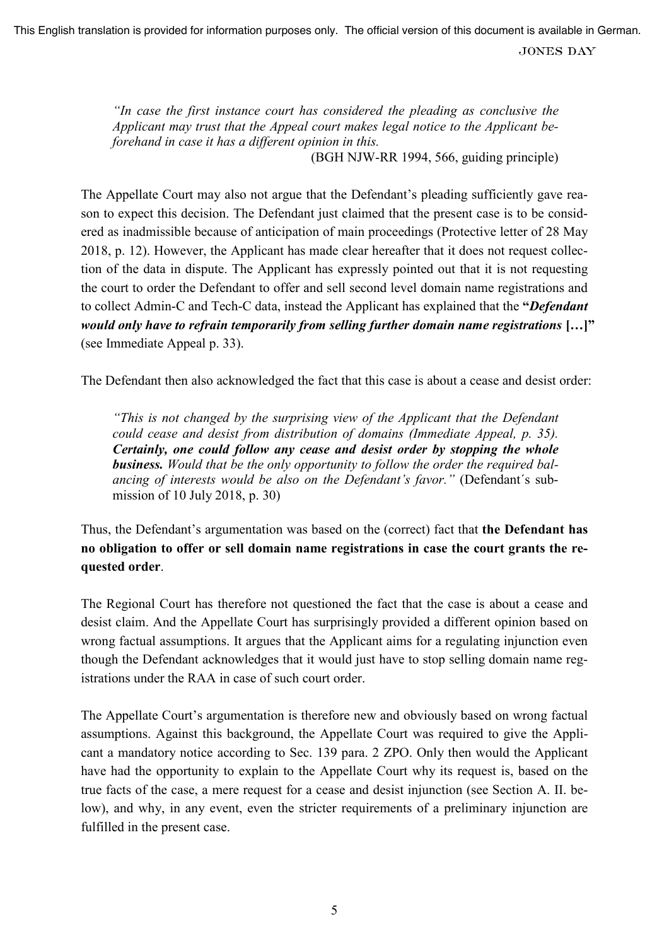**JONES DAY** 

*"In case the first instance court has considered the pleading as conclusive the Applicant may trust that the Appeal court makes legal notice to the Applicant beforehand in case it has a different opinion in this.* 

(BGH NJW-RR 1994, 566, guiding principle)

The Appellate Court may also not argue that the Defendant's pleading sufficiently gave reason to expect this decision. The Defendant just claimed that the present case is to be considered as inadmissible because of anticipation of main proceedings (Protective letter of 28 May 2018, p. 12). However, the Applicant has made clear hereafter that it does not request collection of the data in dispute. The Applicant has expressly pointed out that it is not requesting the court to order the Defendant to offer and sell second level domain name registrations and to collect Admin-C and Tech-C data, instead the Applicant has explained that the **"***Defendant would only have to refrain temporarily from selling further domain name registrations* **[…]"** (see Immediate Appeal p. 33).

The Defendant then also acknowledged the fact that this case is about a cease and desist order:

*"This is not changed by the surprising view of the Applicant that the Defendant could cease and desist from distribution of domains (Immediate Appeal, p. 35). Certainly, one could follow any cease and desist order by stopping the whole business. Would that be the only opportunity to follow the order the required balancing of interests would be also on the Defendant's favor."* (Defendant´s submission of 10 July 2018, p. 30)

Thus, the Defendant's argumentation was based on the (correct) fact that **the Defendant has no obligation to offer or sell domain name registrations in case the court grants the requested order**.

The Regional Court has therefore not questioned the fact that the case is about a cease and desist claim. And the Appellate Court has surprisingly provided a different opinion based on wrong factual assumptions. It argues that the Applicant aims for a regulating injunction even though the Defendant acknowledges that it would just have to stop selling domain name registrations under the RAA in case of such court order.

The Appellate Court's argumentation is therefore new and obviously based on wrong factual assumptions. Against this background, the Appellate Court was required to give the Applicant a mandatory notice according to Sec. 139 para. 2 ZPO. Only then would the Applicant have had the opportunity to explain to the Appellate Court why its request is, based on the true facts of the case, a mere request for a cease and desist injunction (see Section A. II. below), and why, in any event, even the stricter requirements of a preliminary injunction are fulfilled in the present case.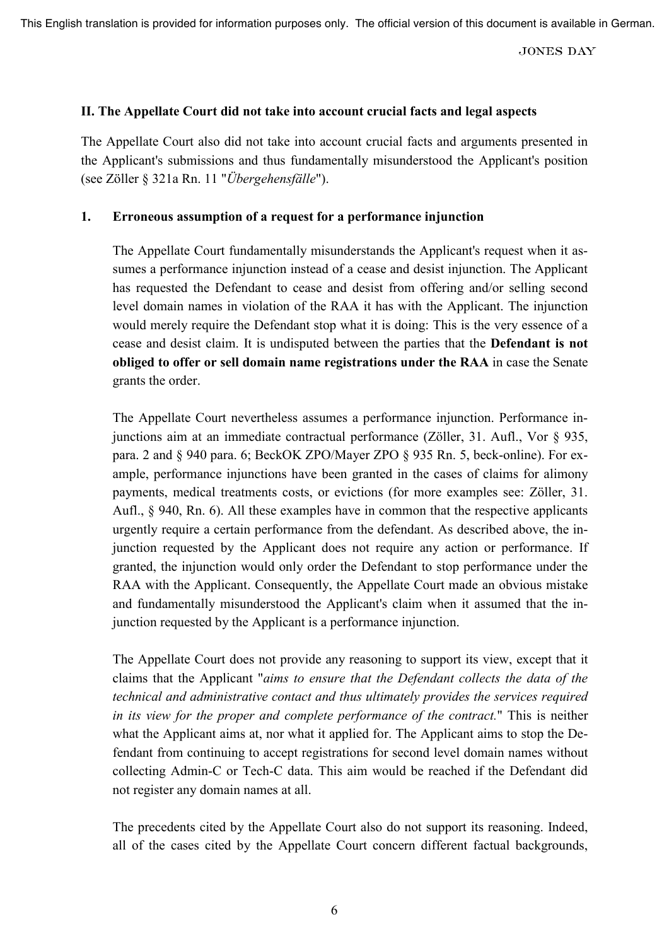**JONES DAY** 

### **II. The Appellate Court did not take into account crucial facts and legal aspects**

The Appellate Court also did not take into account crucial facts and arguments presented in the Applicant's submissions and thus fundamentally misunderstood the Applicant's position (see Zöller § 321a Rn. 11 "*Übergehensfälle*").

### **1. Erroneous assumption of a request for a performance injunction**

The Appellate Court fundamentally misunderstands the Applicant's request when it assumes a performance injunction instead of a cease and desist injunction. The Applicant has requested the Defendant to cease and desist from offering and/or selling second level domain names in violation of the RAA it has with the Applicant. The injunction would merely require the Defendant stop what it is doing: This is the very essence of a cease and desist claim. It is undisputed between the parties that the **Defendant is not obliged to offer or sell domain name registrations under the RAA** in case the Senate grants the order.

The Appellate Court nevertheless assumes a performance injunction. Performance injunctions aim at an immediate contractual performance (Zöller, 31. Aufl., Vor § 935, para. 2 and § 940 para. 6; BeckOK ZPO/Mayer ZPO § 935 Rn. 5, beck-online). For example, performance injunctions have been granted in the cases of claims for alimony payments, medical treatments costs, or evictions (for more examples see: Zöller, 31. Aufl., § 940, Rn. 6). All these examples have in common that the respective applicants urgently require a certain performance from the defendant. As described above, the injunction requested by the Applicant does not require any action or performance. If granted, the injunction would only order the Defendant to stop performance under the RAA with the Applicant. Consequently, the Appellate Court made an obvious mistake and fundamentally misunderstood the Applicant's claim when it assumed that the injunction requested by the Applicant is a performance injunction.

The Appellate Court does not provide any reasoning to support its view, except that it claims that the Applicant "*aims to ensure that the Defendant collects the data of the technical and administrative contact and thus ultimately provides the services required in its view for the proper and complete performance of the contract.*" This is neither what the Applicant aims at, nor what it applied for. The Applicant aims to stop the Defendant from continuing to accept registrations for second level domain names without collecting Admin-C or Tech-C data. This aim would be reached if the Defendant did not register any domain names at all.

The precedents cited by the Appellate Court also do not support its reasoning. Indeed, all of the cases cited by the Appellate Court concern different factual backgrounds,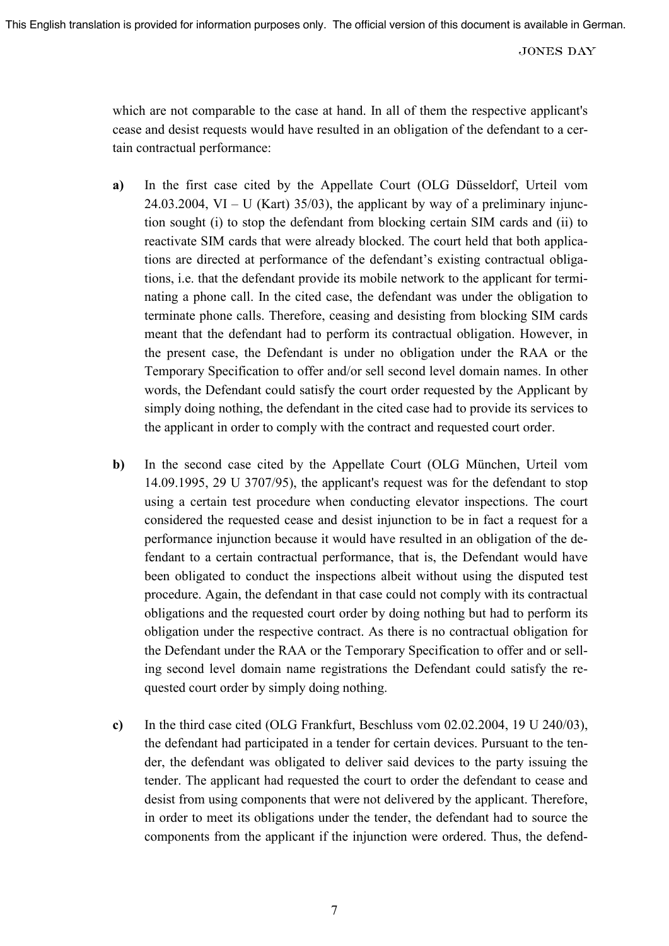which are not comparable to the case at hand. In all of them the respective applicant's cease and desist requests would have resulted in an obligation of the defendant to a certain contractual performance:

- **a)** In the first case cited by the Appellate Court (OLG Düsseldorf, Urteil vom 24.03.2004, VI – U (Kart) 35/03), the applicant by way of a preliminary injunction sought (i) to stop the defendant from blocking certain SIM cards and (ii) to reactivate SIM cards that were already blocked. The court held that both applications are directed at performance of the defendant's existing contractual obligations, i.e. that the defendant provide its mobile network to the applicant for terminating a phone call. In the cited case, the defendant was under the obligation to terminate phone calls. Therefore, ceasing and desisting from blocking SIM cards meant that the defendant had to perform its contractual obligation. However, in the present case, the Defendant is under no obligation under the RAA or the Temporary Specification to offer and/or sell second level domain names. In other words, the Defendant could satisfy the court order requested by the Applicant by simply doing nothing, the defendant in the cited case had to provide its services to the applicant in order to comply with the contract and requested court order.
- **b)** In the second case cited by the Appellate Court (OLG München, Urteil vom 14.09.1995, 29 U 3707/95), the applicant's request was for the defendant to stop using a certain test procedure when conducting elevator inspections. The court considered the requested cease and desist injunction to be in fact a request for a performance injunction because it would have resulted in an obligation of the defendant to a certain contractual performance, that is, the Defendant would have been obligated to conduct the inspections albeit without using the disputed test procedure. Again, the defendant in that case could not comply with its contractual obligations and the requested court order by doing nothing but had to perform its obligation under the respective contract. As there is no contractual obligation for the Defendant under the RAA or the Temporary Specification to offer and or selling second level domain name registrations the Defendant could satisfy the requested court order by simply doing nothing.
- **c)** In the third case cited (OLG Frankfurt, Beschluss vom 02.02.2004, 19 U 240/03), the defendant had participated in a tender for certain devices. Pursuant to the tender, the defendant was obligated to deliver said devices to the party issuing the tender. The applicant had requested the court to order the defendant to cease and desist from using components that were not delivered by the applicant. Therefore, in order to meet its obligations under the tender, the defendant had to source the components from the applicant if the injunction were ordered. Thus, the defend-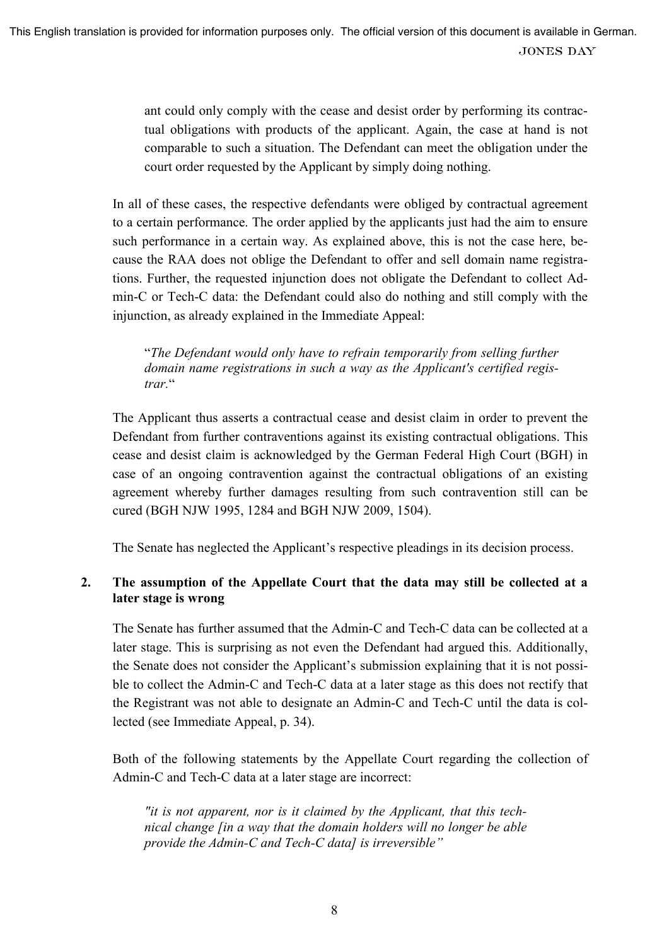ant could only comply with the cease and desist order by performing its contractual obligations with products of the applicant. Again, the case at hand is not comparable to such a situation. The Defendant can meet the obligation under the court order requested by the Applicant by simply doing nothing.

In all of these cases, the respective defendants were obliged by contractual agreement to a certain performance. The order applied by the applicants just had the aim to ensure such performance in a certain way. As explained above, this is not the case here, because the RAA does not oblige the Defendant to offer and sell domain name registrations. Further, the requested injunction does not obligate the Defendant to collect Admin-C or Tech-C data: the Defendant could also do nothing and still comply with the injunction, as already explained in the Immediate Appeal:

"*The Defendant would only have to refrain temporarily from selling further domain name registrations in such a way as the Applicant's certified registrar.*"

The Applicant thus asserts a contractual cease and desist claim in order to prevent the Defendant from further contraventions against its existing contractual obligations. This cease and desist claim is acknowledged by the German Federal High Court (BGH) in case of an ongoing contravention against the contractual obligations of an existing agreement whereby further damages resulting from such contravention still can be cured (BGH NJW 1995, 1284 and BGH NJW 2009, 1504).

The Senate has neglected the Applicant's respective pleadings in its decision process.

# **2. The assumption of the Appellate Court that the data may still be collected at a later stage is wrong**

The Senate has further assumed that the Admin-C and Tech-C data can be collected at a later stage. This is surprising as not even the Defendant had argued this. Additionally, the Senate does not consider the Applicant's submission explaining that it is not possible to collect the Admin-C and Tech-C data at a later stage as this does not rectify that the Registrant was not able to designate an Admin-C and Tech-C until the data is collected (see Immediate Appeal, p. 34).

Both of the following statements by the Appellate Court regarding the collection of Admin-C and Tech-C data at a later stage are incorrect:

*"it is not apparent, nor is it claimed by the Applicant, that this technical change [in a way that the domain holders will no longer be able provide the Admin-C and Tech-C data] is irreversible"*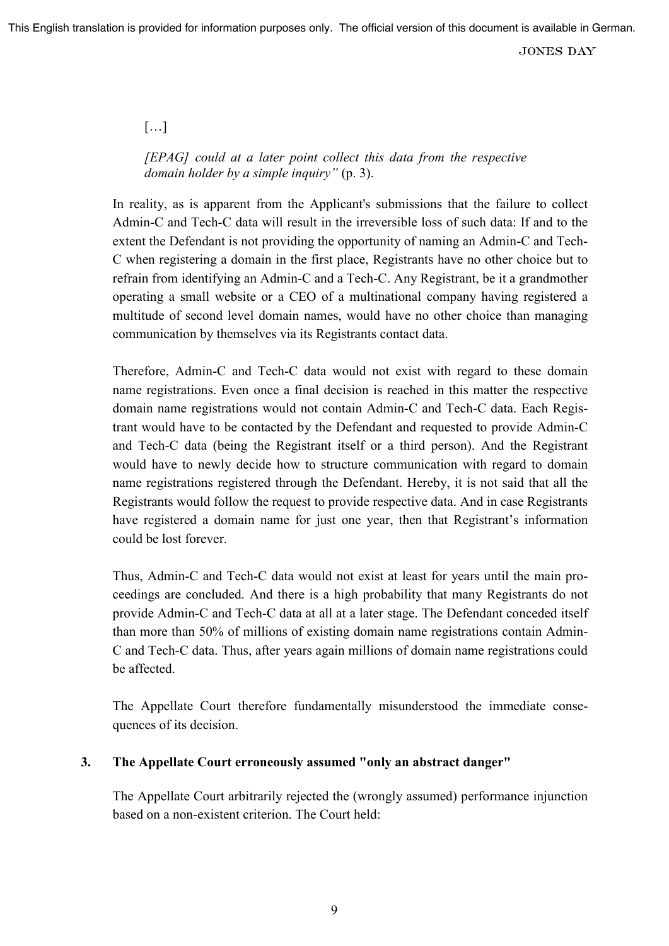### […]

## *[EPAG] could at a later point collect this data from the respective domain holder by a simple inquiry"* (p. 3).

In reality, as is apparent from the Applicant's submissions that the failure to collect Admin-C and Tech-C data will result in the irreversible loss of such data: If and to the extent the Defendant is not providing the opportunity of naming an Admin-C and Tech-C when registering a domain in the first place, Registrants have no other choice but to refrain from identifying an Admin-C and a Tech-C. Any Registrant, be it a grandmother operating a small website or a CEO of a multinational company having registered a multitude of second level domain names, would have no other choice than managing communication by themselves via its Registrants contact data.

Therefore, Admin-C and Tech-C data would not exist with regard to these domain name registrations. Even once a final decision is reached in this matter the respective domain name registrations would not contain Admin-C and Tech-C data. Each Registrant would have to be contacted by the Defendant and requested to provide Admin-C and Tech-C data (being the Registrant itself or a third person). And the Registrant would have to newly decide how to structure communication with regard to domain name registrations registered through the Defendant. Hereby, it is not said that all the Registrants would follow the request to provide respective data. And in case Registrants have registered a domain name for just one year, then that Registrant's information could be lost forever.

Thus, Admin-C and Tech-C data would not exist at least for years until the main proceedings are concluded. And there is a high probability that many Registrants do not provide Admin-C and Tech-C data at all at a later stage. The Defendant conceded itself than more than 50% of millions of existing domain name registrations contain Admin-C and Tech-C data. Thus, after years again millions of domain name registrations could be affected.

The Appellate Court therefore fundamentally misunderstood the immediate consequences of its decision.

### **3. The Appellate Court erroneously assumed "only an abstract danger"**

The Appellate Court arbitrarily rejected the (wrongly assumed) performance injunction based on a non-existent criterion. The Court held: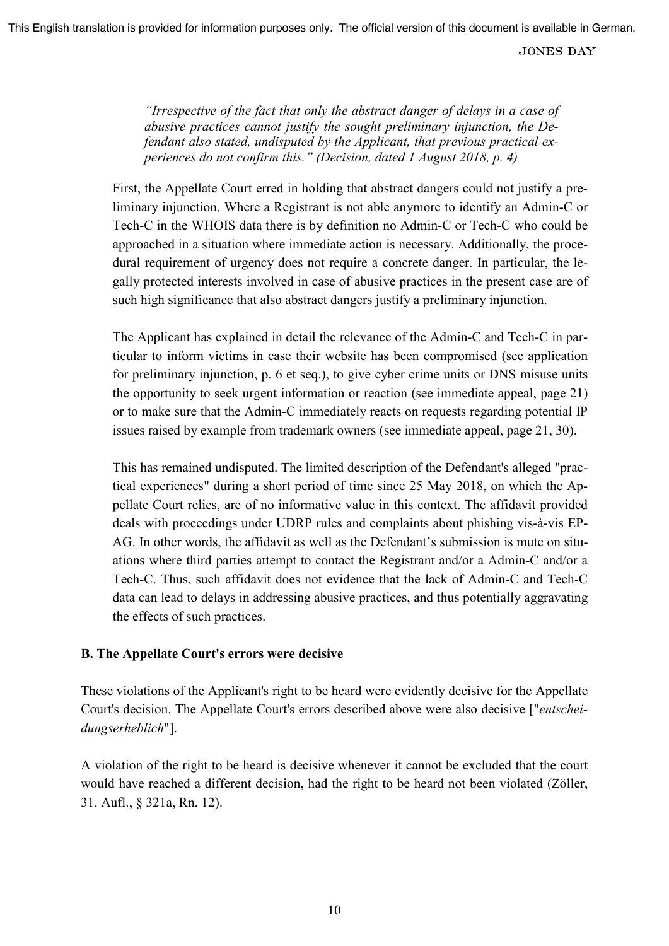*"Irrespective of the fact that only the abstract danger of delays in a case of abusive practices cannot justify the sought preliminary injunction, the Defendant also stated, undisputed by the Applicant, that previous practical experiences do not confirm this." (Decision, dated 1 August 2018, p. 4)* 

First, the Appellate Court erred in holding that abstract dangers could not justify a preliminary injunction. Where a Registrant is not able anymore to identify an Admin-C or Tech-C in the WHOIS data there is by definition no Admin-C or Tech-C who could be approached in a situation where immediate action is necessary. Additionally, the procedural requirement of urgency does not require a concrete danger. In particular, the legally protected interests involved in case of abusive practices in the present case are of such high significance that also abstract dangers justify a preliminary injunction.

The Applicant has explained in detail the relevance of the Admin-C and Tech-C in particular to inform victims in case their website has been compromised (see application for preliminary injunction, p. 6 et seq.), to give cyber crime units or DNS misuse units the opportunity to seek urgent information or reaction (see immediate appeal, page 21) or to make sure that the Admin-C immediately reacts on requests regarding potential IP issues raised by example from trademark owners (see immediate appeal, page 21, 30).

This has remained undisputed. The limited description of the Defendant's alleged "practical experiences" during a short period of time since 25 May 2018, on which the Appellate Court relies, are of no informative value in this context. The affidavit provided deals with proceedings under UDRP rules and complaints about phishing vis-à-vis EP-AG. In other words, the affidavit as well as the Defendant's submission is mute on situations where third parties attempt to contact the Registrant and/or a Admin-C and/or a Tech-C. Thus, such affidavit does not evidence that the lack of Admin-C and Tech-C data can lead to delays in addressing abusive practices, and thus potentially aggravating the effects of such practices.

## **B. The Appellate Court's errors were decisive**

These violations of the Applicant's right to be heard were evidently decisive for the Appellate Court's decision. The Appellate Court's errors described above were also decisive ["*entscheidungserheblich*"].

A violation of the right to be heard is decisive whenever it cannot be excluded that the court would have reached a different decision, had the right to be heard not been violated (Zöller, 31. Aufl., § 321a, Rn. 12).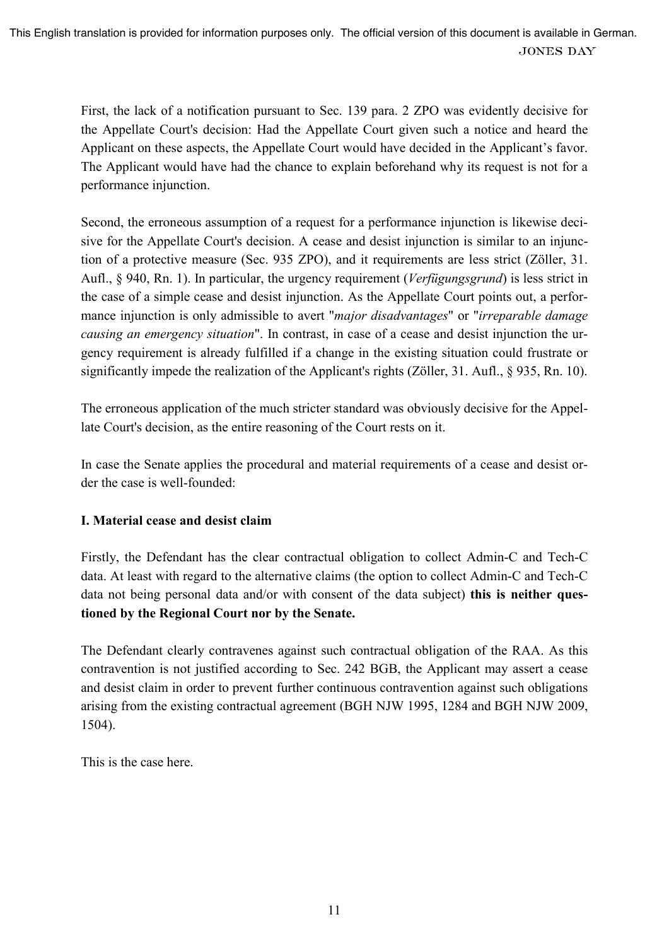First, the lack of a notification pursuant to Sec. 139 para. 2 ZPO was evidently decisive for the Appellate Court's decision: Had the Appellate Court given such a notice and heard the Applicant on these aspects, the Appellate Court would have decided in the Applicant's favor. The Applicant would have had the chance to explain beforehand why its request is not for a performance injunction.

Second, the erroneous assumption of a request for a performance injunction is likewise decisive for the Appellate Court's decision. A cease and desist injunction is similar to an injunction of a protective measure (Sec. 935 ZPO), and it requirements are less strict (Zöller, 31. Aufl., § 940, Rn. 1). In particular, the urgency requirement (*Verfügungsgrund*) is less strict in the case of a simple cease and desist injunction. As the Appellate Court points out, a performance injunction is only admissible to avert "*major disadvantages*" or "*irreparable damage causing an emergency situation*". In contrast, in case of a cease and desist injunction the urgency requirement is already fulfilled if a change in the existing situation could frustrate or significantly impede the realization of the Applicant's rights (Zöller, 31. Aufl., § 935, Rn. 10).

The erroneous application of the much stricter standard was obviously decisive for the Appellate Court's decision, as the entire reasoning of the Court rests on it.

In case the Senate applies the procedural and material requirements of a cease and desist order the case is well-founded:

# **I. Material cease and desist claim**

Firstly, the Defendant has the clear contractual obligation to collect Admin-C and Tech-C data. At least with regard to the alternative claims (the option to collect Admin-C and Tech-C data not being personal data and/or with consent of the data subject) **this is neither questioned by the Regional Court nor by the Senate.** 

The Defendant clearly contravenes against such contractual obligation of the RAA. As this contravention is not justified according to Sec. 242 BGB, the Applicant may assert a cease and desist claim in order to prevent further continuous contravention against such obligations arising from the existing contractual agreement (BGH NJW 1995, 1284 and BGH NJW 2009, 1504).

This is the case here.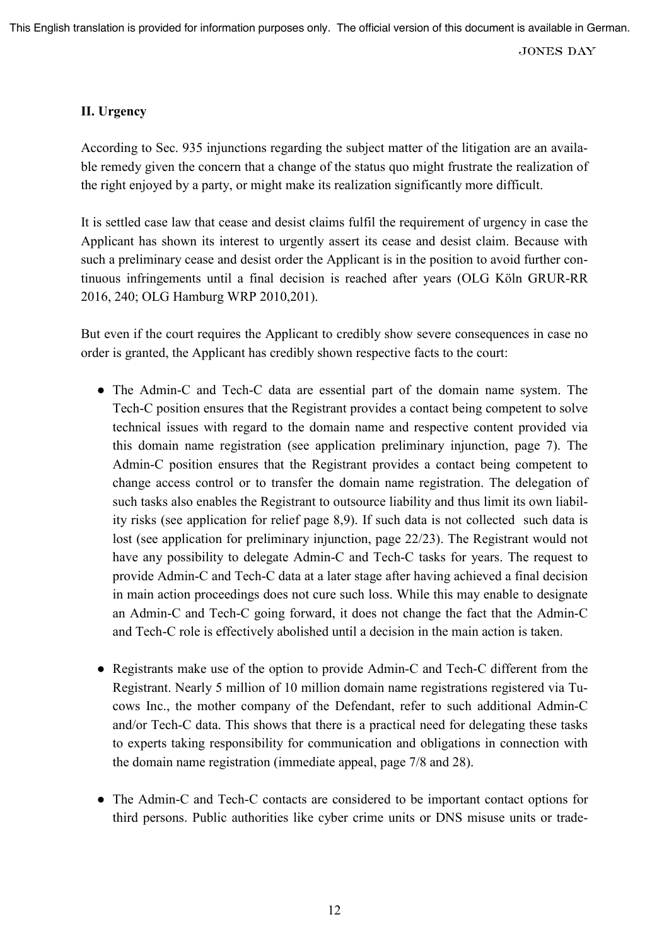### **II. Urgency**

According to Sec. 935 injunctions regarding the subject matter of the litigation are an available remedy given the concern that a change of the status quo might frustrate the realization of the right enjoyed by a party, or might make its realization significantly more difficult.

It is settled case law that cease and desist claims fulfil the requirement of urgency in case the Applicant has shown its interest to urgently assert its cease and desist claim. Because with such a preliminary cease and desist order the Applicant is in the position to avoid further continuous infringements until a final decision is reached after years (OLG Köln GRUR-RR 2016, 240; OLG Hamburg WRP 2010,201).

But even if the court requires the Applicant to credibly show severe consequences in case no order is granted, the Applicant has credibly shown respective facts to the court:

- The Admin-C and Tech-C data are essential part of the domain name system. The Tech-C position ensures that the Registrant provides a contact being competent to solve technical issues with regard to the domain name and respective content provided via this domain name registration (see application preliminary injunction, page 7). The Admin-C position ensures that the Registrant provides a contact being competent to change access control or to transfer the domain name registration. The delegation of such tasks also enables the Registrant to outsource liability and thus limit its own liability risks (see application for relief page 8,9). If such data is not collected such data is lost (see application for preliminary injunction, page 22/23). The Registrant would not have any possibility to delegate Admin-C and Tech-C tasks for years. The request to provide Admin-C and Tech-C data at a later stage after having achieved a final decision in main action proceedings does not cure such loss. While this may enable to designate an Admin-C and Tech-C going forward, it does not change the fact that the Admin-C and Tech-C role is effectively abolished until a decision in the main action is taken.
- Registrants make use of the option to provide Admin-C and Tech-C different from the Registrant. Nearly 5 million of 10 million domain name registrations registered via Tucows Inc., the mother company of the Defendant, refer to such additional Admin-C and/or Tech-C data. This shows that there is a practical need for delegating these tasks to experts taking responsibility for communication and obligations in connection with the domain name registration (immediate appeal, page 7/8 and 28).
- The Admin-C and Tech-C contacts are considered to be important contact options for third persons. Public authorities like cyber crime units or DNS misuse units or trade-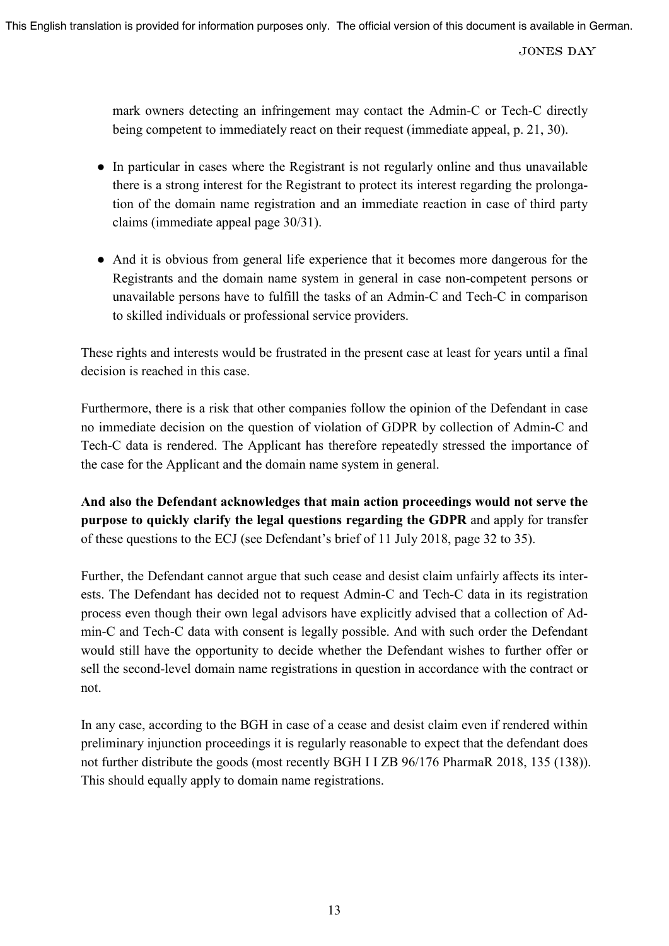mark owners detecting an infringement may contact the Admin-C or Tech-C directly being competent to immediately react on their request (immediate appeal, p. 21, 30).

- In particular in cases where the Registrant is not regularly online and thus unavailable there is a strong interest for the Registrant to protect its interest regarding the prolongation of the domain name registration and an immediate reaction in case of third party claims (immediate appeal page 30/31).
- And it is obvious from general life experience that it becomes more dangerous for the Registrants and the domain name system in general in case non-competent persons or unavailable persons have to fulfill the tasks of an Admin-C and Tech-C in comparison to skilled individuals or professional service providers.

These rights and interests would be frustrated in the present case at least for years until a final decision is reached in this case.

Furthermore, there is a risk that other companies follow the opinion of the Defendant in case no immediate decision on the question of violation of GDPR by collection of Admin-C and Tech-C data is rendered. The Applicant has therefore repeatedly stressed the importance of the case for the Applicant and the domain name system in general.

**And also the Defendant acknowledges that main action proceedings would not serve the purpose to quickly clarify the legal questions regarding the GDPR** and apply for transfer of these questions to the ECJ (see Defendant's brief of 11 July 2018, page 32 to 35).

Further, the Defendant cannot argue that such cease and desist claim unfairly affects its interests. The Defendant has decided not to request Admin-C and Tech-C data in its registration process even though their own legal advisors have explicitly advised that a collection of Admin-C and Tech-C data with consent is legally possible. And with such order the Defendant would still have the opportunity to decide whether the Defendant wishes to further offer or sell the second-level domain name registrations in question in accordance with the contract or not.

In any case, according to the BGH in case of a cease and desist claim even if rendered within preliminary injunction proceedings it is regularly reasonable to expect that the defendant does not further distribute the goods (most recently BGH I I ZB 96/176 PharmaR 2018, 135 (138)). This should equally apply to domain name registrations.